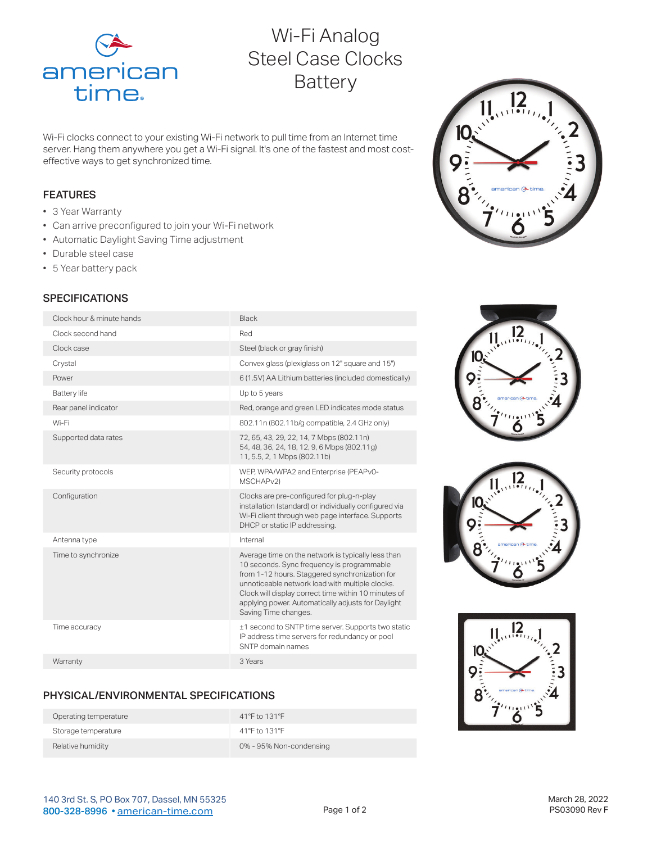

# Wi-Fi Analog Steel Case Clocks **Battery**

Wi-Fi clocks connect to your existing Wi-Fi network to pull time from an Internet time server. Hang them anywhere you get a Wi-Fi signal. It's one of the fastest and most costeffective ways to get synchronized time.

#### FEATURES

- 3 Year Warranty
- Can arrive preconfigured to join your Wi-Fi network
- Automatic Daylight Saving Time adjustment
- Durable steel case
- 5 Year battery pack

# **SPECIFICATIONS**

| Clock hour & minute hands | Black                                                                                                                                                                                                                                                                                                                                       |
|---------------------------|---------------------------------------------------------------------------------------------------------------------------------------------------------------------------------------------------------------------------------------------------------------------------------------------------------------------------------------------|
| Clock second hand         | Red                                                                                                                                                                                                                                                                                                                                         |
| Clock case                | Steel (black or gray finish)                                                                                                                                                                                                                                                                                                                |
| Crystal                   | Convex glass (plexiglass on 12" square and 15")                                                                                                                                                                                                                                                                                             |
| Power                     | 6 (1.5V) AA Lithium batteries (included domestically)                                                                                                                                                                                                                                                                                       |
| <b>Battery</b> life       | Up to 5 years                                                                                                                                                                                                                                                                                                                               |
| Rear panel indicator      | Red, orange and green LED indicates mode status                                                                                                                                                                                                                                                                                             |
| Wi-Fi                     | 802.11n (802.11b/g compatible, 2.4 GHz only)                                                                                                                                                                                                                                                                                                |
| Supported data rates      | 72, 65, 43, 29, 22, 14, 7 Mbps (802.11n)<br>54, 48, 36, 24, 18, 12, 9, 6 Mbps (802.11g)<br>11, 5.5, 2, 1 Mbps (802.11b)                                                                                                                                                                                                                     |
| Security protocols        | WEP, WPA/WPA2 and Enterprise (PEAPv0-<br>MSCHAP <sub>v2</sub> )                                                                                                                                                                                                                                                                             |
| Configuration             | Clocks are pre-configured for plug-n-play<br>installation (standard) or individually configured via<br>Wi-Fi client through web page interface. Supports<br>DHCP or static IP addressing.                                                                                                                                                   |
| Antenna type              | Internal                                                                                                                                                                                                                                                                                                                                    |
| Time to synchronize       | Average time on the network is typically less than<br>10 seconds. Sync frequency is programmable<br>from 1-12 hours. Staggered synchronization for<br>unnoticeable network load with multiple clocks.<br>Clock will display correct time within 10 minutes of<br>applying power. Automatically adjusts for Daylight<br>Saving Time changes. |
| Time accuracy             | ±1 second to SNTP time server. Supports two static<br>IP address time servers for redundancy or pool<br>SNTP domain names                                                                                                                                                                                                                   |
| Warranty                  | 3 Years                                                                                                                                                                                                                                                                                                                                     |
|                           |                                                                                                                                                                                                                                                                                                                                             |

#### PHYSICAL/ENVIRONMENTAL SPECIFICATIONS

| Operating temperature | 41°F to 131°F           |
|-----------------------|-------------------------|
| Storage temperature   | 41°F to 131°F           |
| Relative humidity     | 0% - 95% Non-condensing |